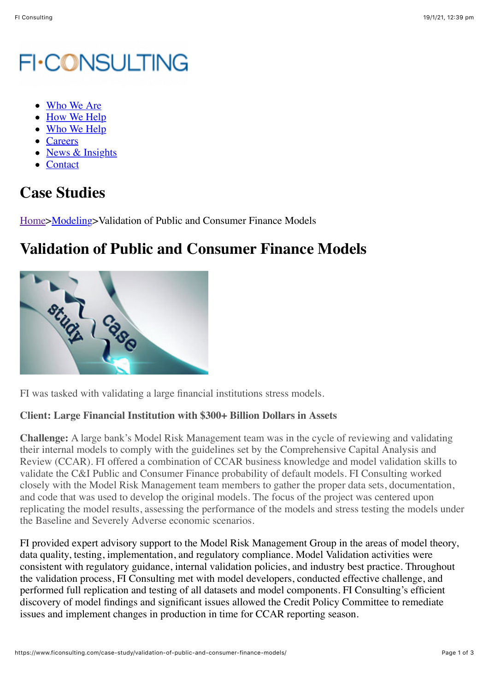## **FI-CONSULTING**

- [Who We Are](https://www.ficonsulting.com/who-we-are/)
- [How We Help](https://www.ficonsulting.com/how-we-help/)
- [Who We Help](https://www.ficonsulting.com/who-we-help/)
- [Careers](https://www.ficonsulting.com/careers/)
- [News & Insights](https://www.ficonsulting.com/news-insights/)
- [Contact](https://www.ficonsulting.com/contact/)

## **Case Studies**

[Home>](https://www.ficonsulting.com/)[Modeling>](https://www.ficonsulting.com/fi-case-category/case-modeling/)Validation of Public and Consumer Finance Models

## **Validation of Public and Consumer Finance Models**



FI was tasked with validating a large financial institutions stress models.

## **Client: Large Financial Institution with \$300+ Billion Dollars in Assets**

**Challenge:** A large bank's Model Risk Management team was in the cycle of reviewing and validating their internal models to comply with the guidelines set by the Comprehensive Capital Analysis and Review (CCAR). FI offered a combination of CCAR business knowledge and model validation skills to validate the C&I Public and Consumer Finance probability of default models. FI Consulting worked closely with the Model Risk Management team members to gather the proper data sets, documentation, and code that was used to develop the original models. The focus of the project was centered upon replicating the model results, assessing the performance of the models and stress testing the models under the Baseline and Severely Adverse economic scenarios.

FI provided expert advisory support to the Model Risk Management Group in the areas of model theory, data quality, testing, implementation, and regulatory compliance. Model Validation activities were consistent with regulatory guidance, internal validation policies, and industry best practice. Throughout the validation process, FI Consulting met with model developers, conducted effective challenge, and performed full replication and testing of all datasets and model components. FI Consulting's efficient discovery of model findings and significant issues allowed the Credit Policy Committee to remediate issues and implement changes in production in time for CCAR reporting season.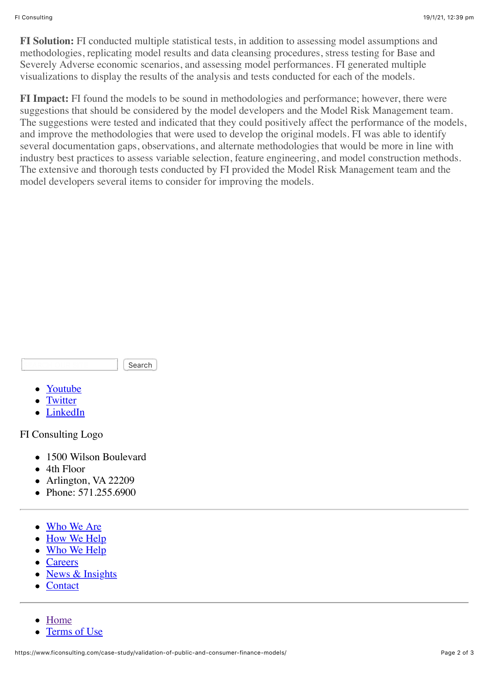**FI Solution:** FI conducted multiple statistical tests, in addition to assessing model assumptions and methodologies, replicating model results and data cleansing procedures, stress testing for Base and Severely Adverse economic scenarios, and assessing model performances. FI generated multiple visualizations to display the results of the analysis and tests conducted for each of the models.

**FI Impact:** FI found the models to be sound in methodologies and performance; however, there were suggestions that should be considered by the model developers and the Model Risk Management team. The suggestions were tested and indicated that they could positively affect the performance of the models, and improve the methodologies that were used to develop the original models. FI was able to identify several documentation gaps, observations, and alternate methodologies that would be more in line with industry best practices to assess variable selection, feature engineering, and model construction methods. The extensive and thorough tests conducted by FI provided the Model Risk Management team and the model developers several items to consider for improving the models.

Search

- [Youtube](https://www.youtube.com/channel/UCGSwJ_jwZ5UW_VkDNaMsV8w)
- **[Twitter](https://twitter.com/fi_consulting)**
- [LinkedIn](https://www.linkedin.com/company/fi-consulting?trk=company_logo)

FI Consulting Logo

- 1500 Wilson Boulevard
- 4th Floor
- Arlington, VA 22209
- Phone: 571.255.6900
- [Who We Are](https://www.ficonsulting.com/who-we-are/)
- [How We Help](https://www.ficonsulting.com/how-we-help/)
- [Who We Help](https://www.ficonsulting.com/who-we-help/)
- [Careers](https://www.ficonsulting.com/careers/)
- [News & Insights](https://www.ficonsulting.com/news-insights/)
- **[Contact](https://www.ficonsulting.com/contact/)**  $\bullet$

[Home](https://www.ficonsulting.com/)

[Terms of Use](https://www.ficonsulting.com/terms-of-use/)